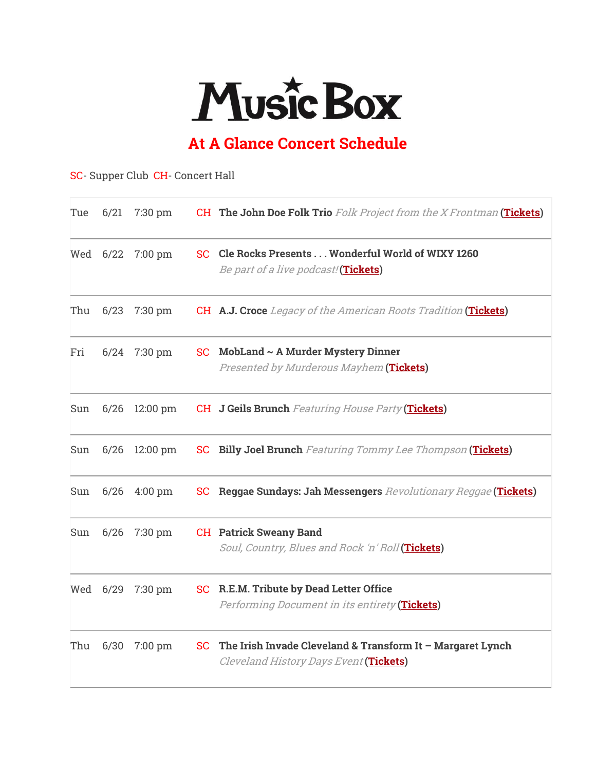

## **At A Glance Concert Schedule**

## SC- Supper Club CH- Concert Hall

| Tue | 6/21     | 7:30 pm            |           | <b>CH The John Doe Folk Trio</b> Folk Project from the X Frontman (Tickets)                            |
|-----|----------|--------------------|-----------|--------------------------------------------------------------------------------------------------------|
|     | Wed 6/22 | $7:00 \text{ pm}$  | SC        | Cle Rocks Presents Wonderful World of WIXY 1260<br>Be part of a live podcast! (Tickets)                |
| Thu | 6/23     | $7:30$ pm          |           | <b>CH A.J. Croce</b> Legacy of the American Roots Tradition (Tickets)                                  |
| Fri | 6/24     | 7:30 pm            | SC.       | $\mathbf M$ obLand ~ A Murder Mystery Dinner<br>Presented by Murderous Mayhem (Tickets)                |
| Sun | 6/26     | $12:00 \text{ pm}$ |           | <b>CH</b> J Geils Brunch Featuring House Party (Tickets)                                               |
| Sun | 6/26     | $12:00$ pm         |           | <b>SC</b> Billy Joel Brunch Featuring Tommy Lee Thompson (Tickets)                                     |
| Sun | 6/26     | $4:00 \text{ pm}$  |           | <b>SC</b> Reggae Sundays: Jah Messengers Revolutionary Reggae (Tickets)                                |
| Sun | 6/26     | 7:30 pm            |           | <b>CH</b> Patrick Sweany Band<br>Soul, Country, Blues and Rock 'n' Roll (Tickets)                      |
|     | Wed 6/29 | 7:30 pm            |           | <b>SC</b> R.E.M. Tribute by Dead Letter Office<br>Performing Document in its entirety (Tickets)        |
| Thu | 6/30     | $7:00 \text{ pm}$  | <b>SC</b> | The Irish Invade Cleveland & Transform It $-$ Margaret Lynch<br>Cleveland History Days Event (Tickets) |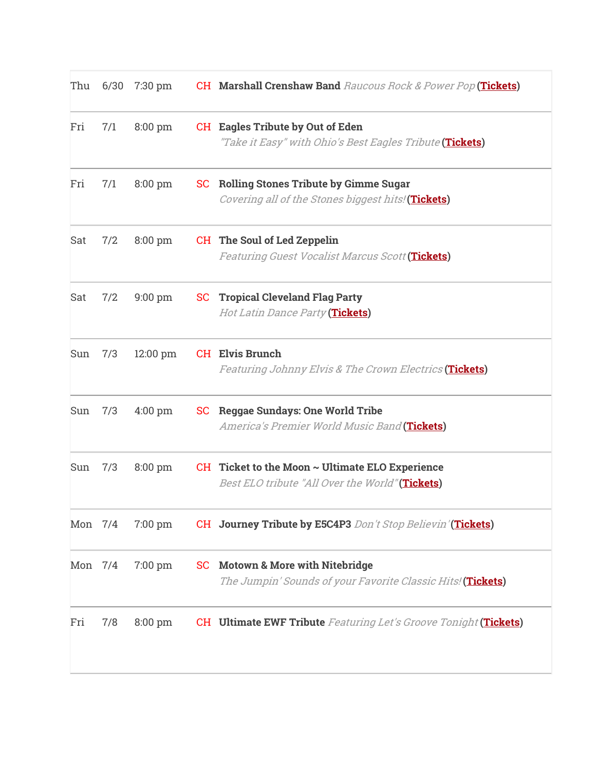| Thu     |     | 6/30 7:30 pm      |           | <b>CH Marshall Crenshaw Band</b> Raucous Rock & Power Pop (Tickets)                                     |
|---------|-----|-------------------|-----------|---------------------------------------------------------------------------------------------------------|
| Fri     | 7/1 | 8:00 pm           |           | <b>CH</b> Eagles Tribute by Out of Eden<br>"Take it Easy" with Ohio's Best Eagles Tribute (Tickets)     |
| Fri     | 7/1 | $8:00 \text{ pm}$ | SC        | <b>Rolling Stones Tribute by Gimme Sugar</b><br>Covering all of the Stones biggest hits! (Tickets)      |
| Sat     | 7/2 | $8:00 \text{ pm}$ |           | CH The Soul of Led Zeppelin<br>Featuring Guest Vocalist Marcus Scott (Tickets)                          |
| Sat     | 7/2 | $9:00 \text{ pm}$ |           | <b>SC</b> Tropical Cleveland Flag Party<br><i>Hot Latin Dance Party</i> (Tickets)                       |
| Sun     | 7/3 | 12:00 pm          |           | <b>CH</b> Elvis Brunch<br>Featuring Johnny Elvis & The Crown Electrics (Tickets)                        |
| Sun     | 7/3 | $4:00 \text{ pm}$ |           | <b>SC</b> Reggae Sundays: One World Tribe<br>America's Premier World Music Band (Tickets)               |
| Sun     | 7/3 | 8:00 pm           |           | CH Ticket to the Moon $\sim$ Ultimate ELO Experience<br>Best ELO tribute "All Over the World" (Tickets) |
| Mon 7/4 |     | $7:00 \text{ pm}$ |           | <b>CH</b> Journey Tribute by E5C4P3 Don't Stop Believin'(Tickets)                                       |
| Mon 7/4 |     | 7:00 pm           | <b>SC</b> | <b>Motown &amp; More with Nitebridge</b><br>The Jumpin' Sounds of your Favorite Classic Hits! (Tickets) |
| Fri     | 7/8 | $8:00$ pm         |           | <b>CH</b> Ultimate EWF Tribute Featuring Let's Groove Tonight (Tickets)                                 |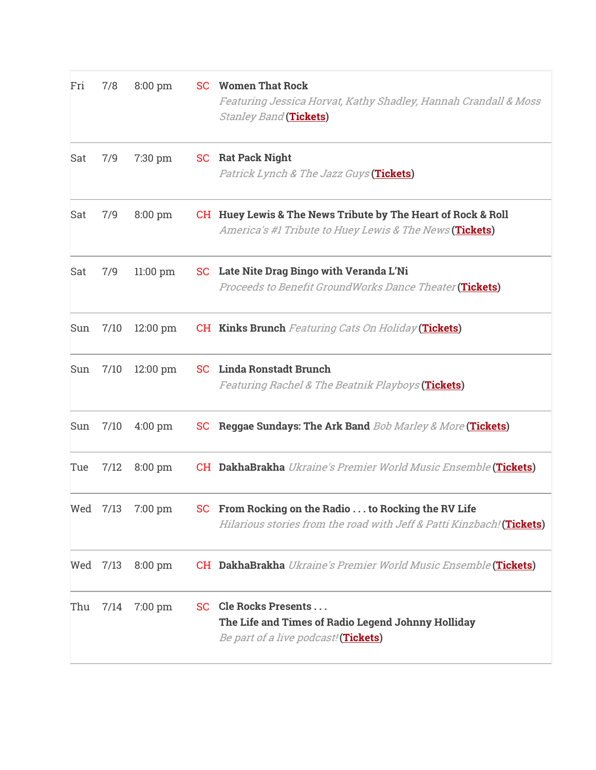| Fri | 7/8  | $8:00$ pm          | <b>SC</b> Women That Rock<br>Featuring Jessica Horvat, Kathy Shadley, Hannah Crandall & Moss<br><i><b>Stanley Band</b></i> (Tickets) |
|-----|------|--------------------|--------------------------------------------------------------------------------------------------------------------------------------|
| Sat | 7/9  | 7:30 pm            | <b>SC</b> Rat Pack Night<br>Patrick Lynch & The Jazz Guys (Tickets)                                                                  |
| Sat | 7/9  | $8:00 \text{ pm}$  | CH Huey Lewis & The News Tribute by The Heart of Rock & Roll<br>America's #1 Tribute to Huey Lewis & The News (Tickets)              |
| Sat | 7/9  | $11:00$ pm         | SC Late Nite Drag Bingo with Veranda L'Ni<br>Proceeds to Benefit GroundWorks Dance Theater (Tickets)                                 |
| Sun | 7/10 | $12:00 \text{ pm}$ | <b>CH Kinks Brunch</b> Featuring Cats On Holiday (Tickets)                                                                           |
| Sun | 7/10 | $12:00$ pm         | <b>SC</b> Linda Ronstadt Brunch<br>Featuring Rachel & The Beatnik Playboys (Tickets)                                                 |
| Sun | 7/10 | $4:00 \text{ pm}$  | SC Reggae Sundays: The Ark Band Bob Marley & More (Tickets)                                                                          |
| Tue | 7/12 | $8:00 \text{ pm}$  | <b>CH DakhaBrakha</b> Ukraine's Premier World Music Ensemble (Tickets)                                                               |
| Wed | 7/13 | 7:00 pm            | SC From Rocking on the Radio  to Rocking the RV Life<br>Hilarious stories from the road with Jeff & Patti Kinzbach! (Tickets)        |
| Wed | 7/13 | 8:00 pm            | <b>CH DakhaBrakha</b> Ukraine's Premier World Music Ensemble (Tickets)                                                               |
| Thu | 7/14 | 7:00 pm            | SC Cle Rocks Presents<br>The Life and Times of Radio Legend Johnny Holliday<br>Be part of a live podcast! (Tickets)                  |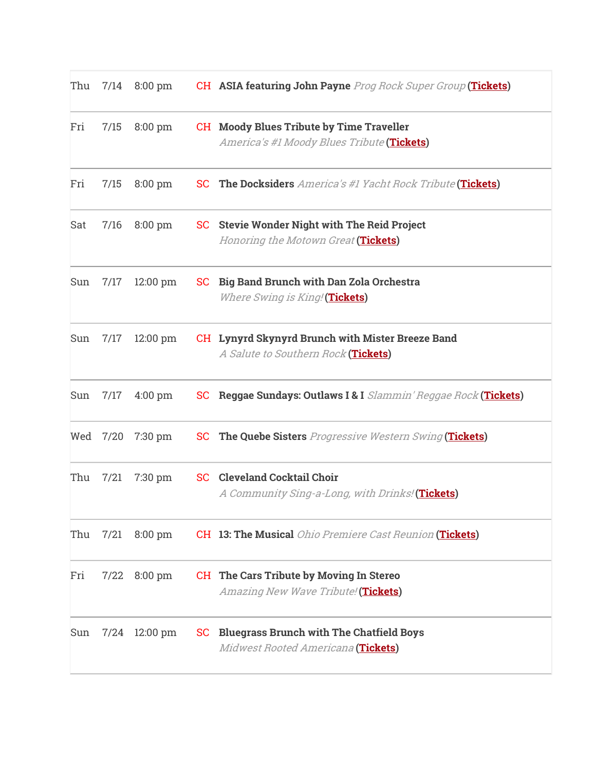| Thu |          | $7/14$ 8:00 pm     |     | CH ASIA featuring John Payne Prog Rock Super Group (Tickets)                                  |
|-----|----------|--------------------|-----|-----------------------------------------------------------------------------------------------|
| Fri | 7/15     | 8:00 pm            |     | <b>CH</b> Moody Blues Tribute by Time Traveller<br>America's #1 Moody Blues Tribute (Tickets) |
| Fri | 7/15     | $8:00 \text{ pm}$  | SC. | <b>The Docksiders</b> America's #1 Yacht Rock Tribute (Tickets)                               |
| Sat | 7/16     | $8:00 \text{ pm}$  |     | <b>SC</b> Stevie Wonder Night with The Reid Project<br>Honoring the Motown Great (Tickets)    |
| Sun | 7/17     | $12:00 \text{ pm}$ | SC. | <b>Big Band Brunch with Dan Zola Orchestra</b><br><i>Where Swing is King!</i> (Tickets)       |
| Sun | 7/17     | $12:00 \text{ pm}$ |     | CH Lynyrd Skynyrd Brunch with Mister Breeze Band<br>A Salute to Southern Rock (Tickets)       |
| Sun | 7/17     | $4:00 \text{ pm}$  |     | SC Reggae Sundays: Outlaws I & I Slammin' Reggae Rock (Tickets)                               |
|     | Wed 7/20 | 7:30 pm            |     | <b>SC</b> The Quebe Sisters Progressive Western Swing (Tickets)                               |
| Thu | 7/21     | $7:30$ pm          |     | <b>SC</b> Cleveland Cocktail Choir<br>A Community Sing-a-Long, with Drinks! (Tickets)         |
| Thu | 7/21     | $8:00 \text{ pm}$  |     | <b>CH 13: The Musical <i>Ohio Premiere Cast Reunion</i> (Tickets)</b>                         |
| Fri | 7/22     | $8:00$ pm          |     | <b>CH</b> The Cars Tribute by Moving In Stereo<br>Amazing New Wave Tribute! (Tickets)         |
| Sun | 7/24     | $12:00 \text{ pm}$ | SC  | <b>Bluegrass Brunch with The Chatfield Boys</b><br>Midwest Rooted Americana (Tickets)         |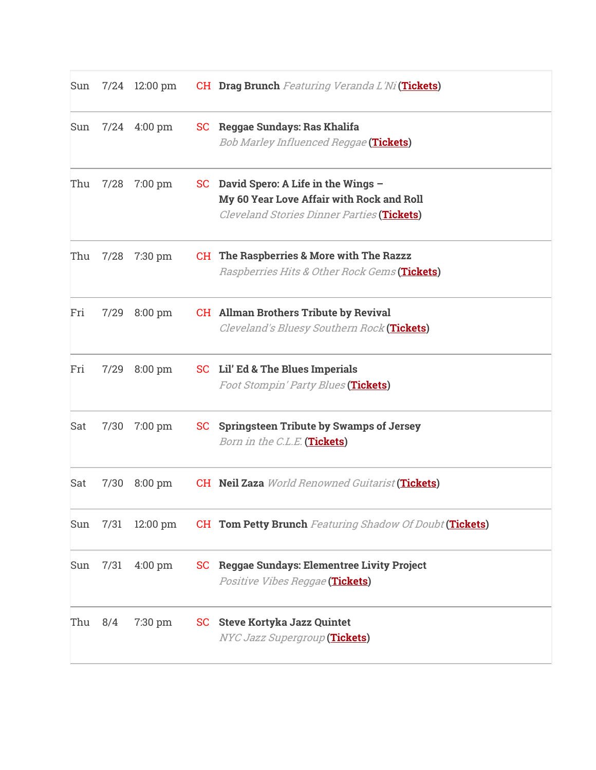| Sun |      | 7/24 12:00 pm      |           | <b>CH</b> Drag Brunch Featuring Veranda L'Ni(Tickets)                                                                         |
|-----|------|--------------------|-----------|-------------------------------------------------------------------------------------------------------------------------------|
| Sun |      | $7/24$ 4:00 pm     | SC        | Reggae Sundays: Ras Khalifa<br>Bob Marley Influenced Reggae (Tickets)                                                         |
| Thu | 7/28 | $7:00 \text{ pm}$  | <b>SC</b> | David Spero: A Life in the Wings -<br>My 60 Year Love Affair with Rock and Roll<br>Cleveland Stories Dinner Parties (Tickets) |
| Thu | 7/28 | $7:30 \text{ pm}$  |           | <b>CH</b> The Raspberries & More with The Razzz<br>Raspberries Hits & Other Rock Gems (Tickets)                               |
| Fri | 7/29 | $8:00 \text{ pm}$  |           | <b>CH</b> Allman Brothers Tribute by Revival<br>Cleveland's Bluesy Southern Rock (Tickets)                                    |
| Fri | 7/29 | $8:00 \text{ pm}$  |           | SC Lil' Ed & The Blues Imperials<br>Foot Stompin' Party Blues (Tickets)                                                       |
| Sat | 7/30 | $7:00 \text{ pm}$  | SC        | <b>Springsteen Tribute by Swamps of Jersey</b><br>Born in the C.L.E. (Tickets)                                                |
| Sat | 7/30 | $8:00 \text{ pm}$  |           | <b>CH</b> Neil Zaza World Renowned Guitarist (Tickets)                                                                        |
| Sun | 7/31 | $12:00 \text{ pm}$ |           | <b>CH Tom Petty Brunch</b> Featuring Shadow Of Doubt (Tickets)                                                                |
| Sun | 7/31 | $4:00 \text{ pm}$  | <b>SC</b> | <b>Reggae Sundays: Elementree Livity Project</b><br>Positive Vibes Reggae (Tickets)                                           |
| Thu | 8/4  | 7:30 pm            | SC        | <b>Steve Kortyka Jazz Quintet</b><br>NYC Jazz Supergroup (Tickets)                                                            |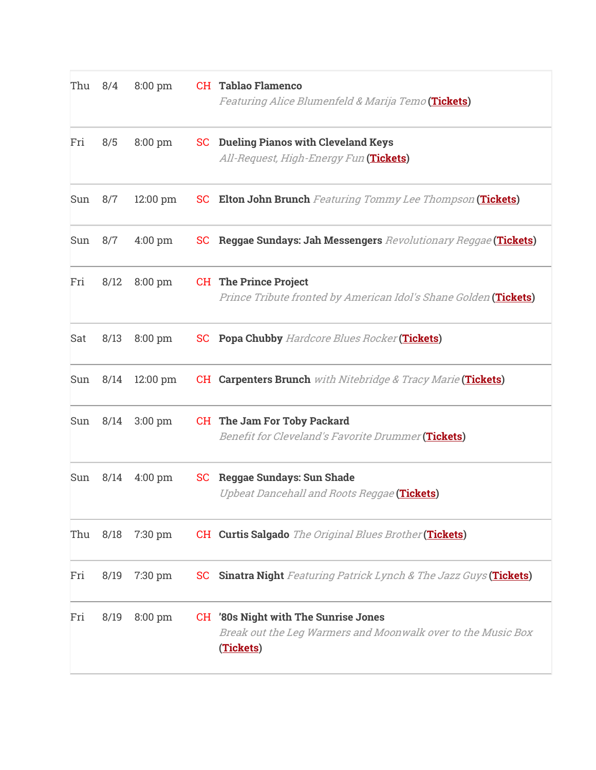| Thu 8/4 |      | $8:00 \text{ pm}$  |           | <b>CH</b> Tablao Flamenco<br>Featuring Alice Blumenfeld & Marija Temo (Tickets)                                          |
|---------|------|--------------------|-----------|--------------------------------------------------------------------------------------------------------------------------|
| Fri     | 8/5  | $8:00 \text{ pm}$  | SC        | <b>Dueling Pianos with Cleveland Keys</b><br>All-Request, High-Energy Fun (Tickets)                                      |
| Sun     | 8/7  | $12:00 \text{ pm}$ | <b>SC</b> | <b>Elton John Brunch</b> Featuring Tommy Lee Thompson (Tickets)                                                          |
| Sun     | 8/7  | $4:00$ pm          | <b>SC</b> | Reggae Sundays: Jah Messengers Revolutionary Reggae (Tickets)                                                            |
| Fri     | 8/12 | $8:00 \text{ pm}$  |           | <b>CH</b> The Prince Project<br>Prince Tribute fronted by American Idol's Shane Golden (Tickets)                         |
| Sat     | 8/13 | $8:00 \text{ pm}$  |           | <b>SC</b> Popa Chubby Hardcore Blues Rocker (Tickets)                                                                    |
| Sun     | 8/14 | $12:00 \text{ pm}$ |           | <b>CH Carpenters Brunch</b> with Nitebridge & Tracy Marie (Tickets)                                                      |
| Sun     | 8/14 | $3:00 \text{ pm}$  |           | CH The Jam For Toby Packard<br>Benefit for Cleveland's Favorite Drummer (Tickets)                                        |
| Sun     | 8/14 | $4:00 \text{ pm}$  | SC        | <b>Reggae Sundays: Sun Shade</b><br>Upbeat Dancehall and Roots Reggae (Tickets)                                          |
| Thu     | 8/18 | 7:30 pm            |           | CH Curtis Salgado The Original Blues Brother (Tickets)                                                                   |
| Fri     | 8/19 | 7:30 pm            | <b>SC</b> | <b>Sinatra Night</b> Featuring Patrick Lynch & The Jazz Guys (Tickets)                                                   |
| Fri     | 8/19 | 8:00 pm            |           | <b>CH</b> '80s Night with The Sunrise Jones<br>Break out the Leg Warmers and Moonwalk over to the Music Box<br>(Tickets) |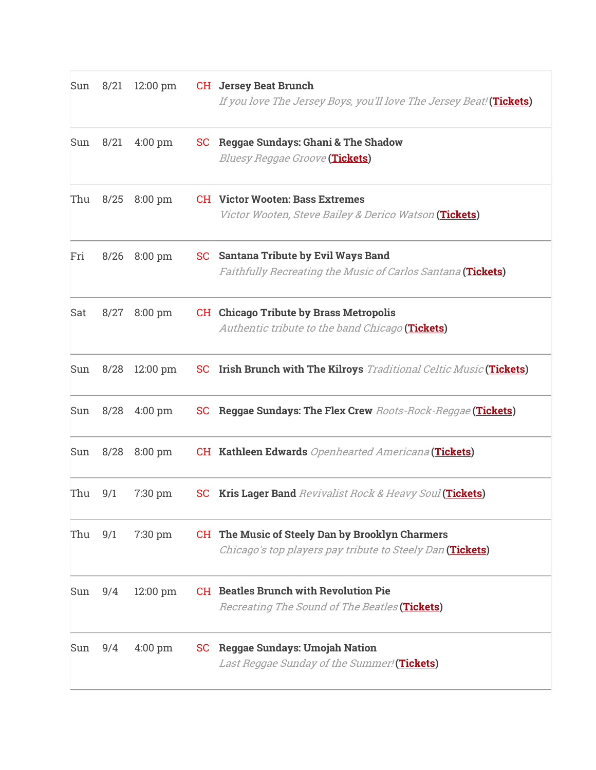| Sun | 8/21 | $12:00 \text{ pm}$ |           | <b>CH</b> Jersey Beat Brunch<br>If you love The Jersey Boys, you'll love The Jersey Beat! (Tickets)          |
|-----|------|--------------------|-----------|--------------------------------------------------------------------------------------------------------------|
| Sun | 8/21 | $4:00 \text{ pm}$  | SC        | <b>Reggae Sundays: Ghani &amp; The Shadow</b><br><i>Bluesy Reggae Groove</i> (Tickets)                       |
| Thu | 8/25 | $8:00$ pm          |           | <b>CH</b> Victor Wooten: Bass Extremes<br>Victor Wooten, Steve Bailey & Derico Watson (Tickets)              |
| Fri | 8/26 | $8:00 \text{ pm}$  | SC        | <b>Santana Tribute by Evil Ways Band</b><br>Faithfully Recreating the Music of Carlos Santana (Tickets)      |
| Sat | 8/27 | $8:00 \text{ pm}$  |           | <b>CH</b> Chicago Tribute by Brass Metropolis<br>Authentic tribute to the band Chicago (Tickets)             |
| Sun | 8/28 | $12:00 \text{ pm}$ | <b>SC</b> | <b>Irish Brunch with The Kilroys</b> Traditional Celtic Music (Tickets)                                      |
| Sun | 8/28 | $4:00 \text{ pm}$  | <b>SC</b> | Reggae Sundays: The Flex Crew Roots-Rock-Reggae (Tickets)                                                    |
| Sun | 8/28 | $8:00 \text{ pm}$  |           | <b>CH Kathleen Edwards</b> Openhearted Americana (Tickets)                                                   |
| Thu | 9/1  | $7:30 \text{ pm}$  | <b>SC</b> | Kris Lager Band Revivalist Rock & Heavy Soul (Tickets)                                                       |
| Thu | 9/1  | $7:30 \text{ pm}$  |           | CH The Music of Steely Dan by Brooklyn Charmers<br>Chicago's top players pay tribute to Steely Dan (Tickets) |
| Sun | 9/4  | $12:00$ pm         |           | <b>CH</b> Beatles Brunch with Revolution Pie<br>Recreating The Sound of The Beatles (Tickets)                |
| Sun | 9/4  | $4:00$ pm          | SC        | <b>Reggae Sundays: Umojah Nation</b><br>Last Reggae Sunday of the Summer! (Tickets)                          |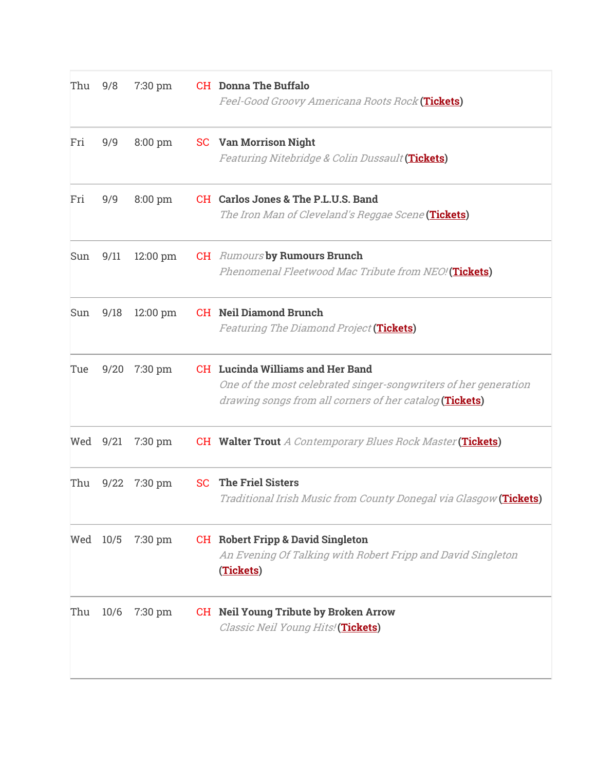| Thu | 9/8      | $7:30$ pm  | <b>CH</b> Donna The Buffalo<br>Feel-Good Groovy Americana Roots Rock (Tickets)                                                                                        |
|-----|----------|------------|-----------------------------------------------------------------------------------------------------------------------------------------------------------------------|
| Fri | 9/9      | 8:00 pm    | <b>SC</b> Van Morrison Night<br>Featuring Nitebridge & Colin Dussault (Tickets)                                                                                       |
| Fri | 9/9      | $8:00$ pm  | CH Carlos Jones & The P.L.U.S. Band<br>The Iron Man of Cleveland's Reggae Scene (Tickets)                                                                             |
| Sun | 9/11     | 12:00 pm   | <b>CH</b> Rumours by Rumours Brunch<br>Phenomenal Fleetwood Mac Tribute from NEO! (Tickets)                                                                           |
| Sun | 9/18     | $12:00$ pm | <b>CH</b> Neil Diamond Brunch<br>Featuring The Diamond Project (Tickets)                                                                                              |
| Tue | 9/20     | $7:30$ pm  | <b>CH</b> Lucinda Williams and Her Band<br>One of the most celebrated singer-songwriters of her generation<br>drawing songs from all corners of her catalog (Tickets) |
|     | Wed 9/21 | $7:30$ pm  | <b>CH</b> Walter Trout A Contemporary Blues Rock Master (Tickets)                                                                                                     |
| Thu | 9/22     | 7:30 pm    | <b>SC</b> The Friel Sisters<br>Traditional Irish Music from County Donegal via Glasgow (Tickets)                                                                      |
|     | Wed 10/5 | $7:30$ pm  | <b>CH</b> Robert Fripp & David Singleton<br>An Evening Of Talking with Robert Fripp and David Singleton<br>(Tickets)                                                  |
| Thu | 10/6     | $7:30$ pm  | <b>CH</b> Neil Young Tribute by Broken Arrow<br>Classic Neil Young Hits! (Tickets)                                                                                    |